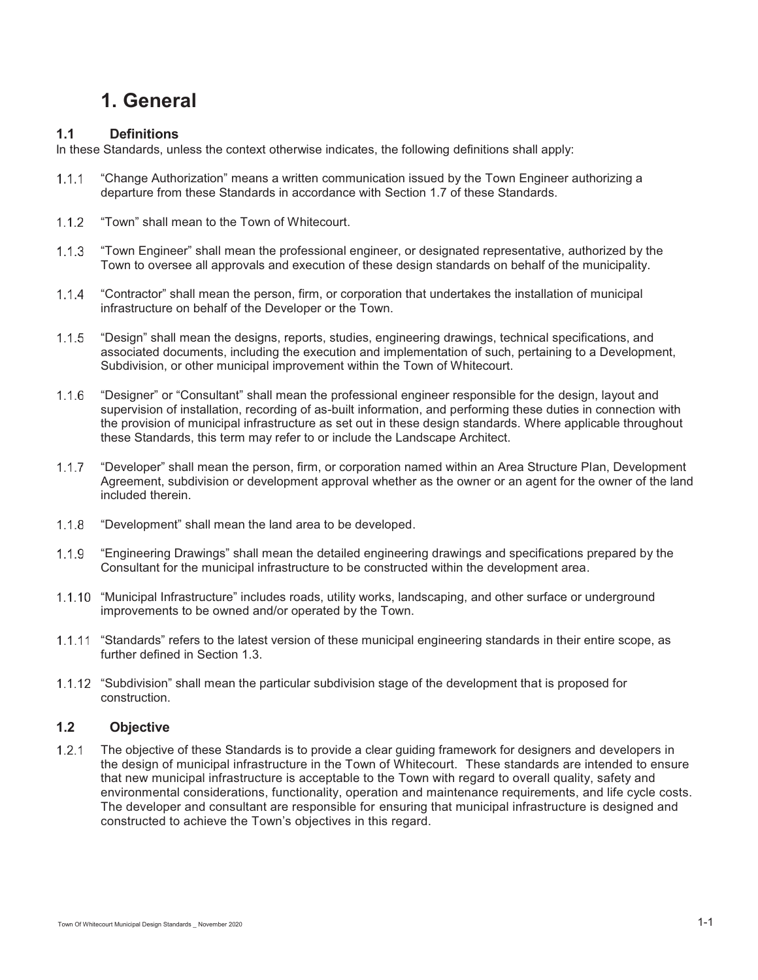# **1. General**

# **1.1 Definitions**

In these Standards, unless the context otherwise indicates, the following definitions shall apply:

- "Change Authorization" means a written communication issued by the Town Engineer authorizing a  $1.1.1$ departure from these Standards in accordance with Section 1.7 of these Standards.
- $1.1.2$ "Town" shall mean to the Town of Whitecourt.
- $1.1.3$ "Town Engineer" shall mean the professional engineer, or designated representative, authorized by the Town to oversee all approvals and execution of these design standards on behalf of the municipality.
- $1.1.4$ "Contractor" shall mean the person, firm, or corporation that undertakes the installation of municipal infrastructure on behalf of the Developer or the Town.
- $1.1.5$ "Design" shall mean the designs, reports, studies, engineering drawings, technical specifications, and associated documents, including the execution and implementation of such, pertaining to a Development, Subdivision, or other municipal improvement within the Town of Whitecourt.
- $1.1.6$ "Designer" or "Consultant" shall mean the professional engineer responsible for the design, layout and supervision of installation, recording of as-built information, and performing these duties in connection with the provision of municipal infrastructure as set out in these design standards. Where applicable throughout these Standards, this term may refer to or include the Landscape Architect.
- $1.1.7$ "Developer" shall mean the person, firm, or corporation named within an Area Structure Plan, Development Agreement, subdivision or development approval whether as the owner or an agent for the owner of the land included therein.
- $1.1.8$ "Development" shall mean the land area to be developed.
- $1.1.9$ "Engineering Drawings" shall mean the detailed engineering drawings and specifications prepared by the Consultant for the municipal infrastructure to be constructed within the development area.
- 1.1.10 "Municipal Infrastructure" includes roads, utility works, landscaping, and other surface or underground improvements to be owned and/or operated by the Town.
- 1.1.11 "Standards" refers to the latest version of these municipal engineering standards in their entire scope, as further defined in Section 1.3.
- 1.1.12 "Subdivision" shall mean the particular subdivision stage of the development that is proposed for construction.

## **1.2 Objective**

 The objective of these Standards is to provide a clear guiding framework for designers and developers in the design of municipal infrastructure in the Town of Whitecourt. These standards are intended to ensure that new municipal infrastructure is acceptable to the Town with regard to overall quality, safety and environmental considerations, functionality, operation and maintenance requirements, and life cycle costs. The developer and consultant are responsible for ensuring that municipal infrastructure is designed and constructed to achieve the Town's objectives in this regard.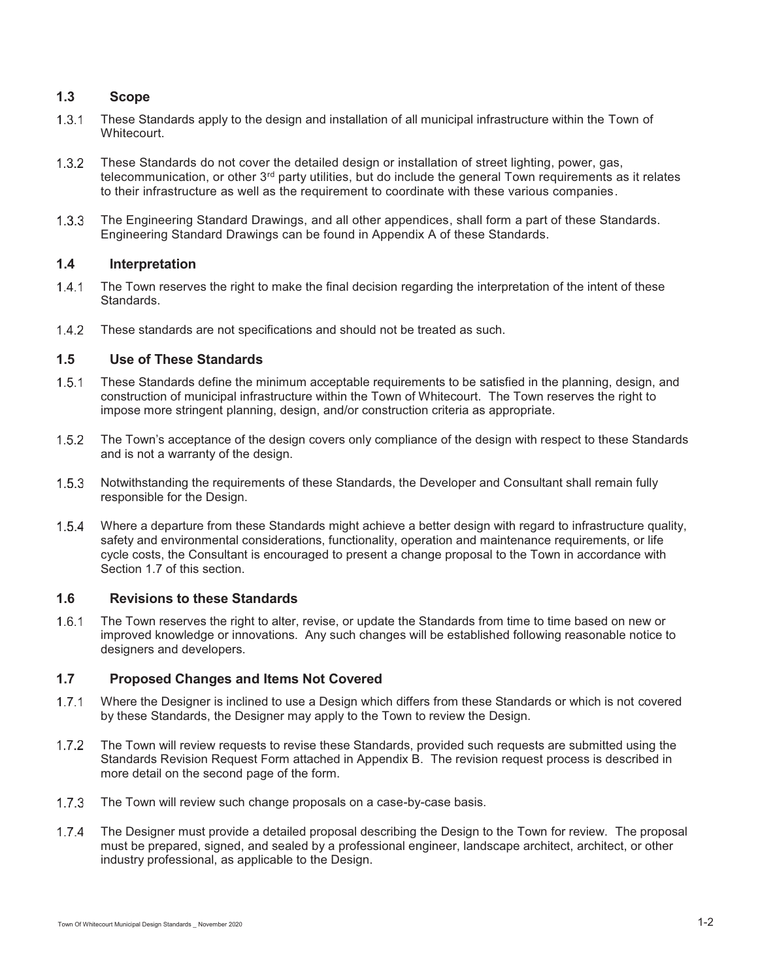# **1.3 Scope**

- These Standards apply to the design and installation of all municipal infrastructure within the Town of Whitecourt.
- These Standards do not cover the detailed design or installation of street lighting, power, gas, telecommunication, or other 3<sup>rd</sup> party utilities, but do include the general Town requirements as it relates to their infrastructure as well as the requirement to coordinate with these various companies.
- The Engineering Standard Drawings, and all other appendices, shall form a part of these Standards. Engineering Standard Drawings can be found in Appendix A of these Standards.

#### **1.4 Interpretation**

- 1.4.1 The Town reserves the right to make the final decision regarding the interpretation of the intent of these Standards.
- These standards are not specifications and should not be treated as such.

#### **1.5 Use of These Standards**

- These Standards define the minimum acceptable requirements to be satisfied in the planning, design, and construction of municipal infrastructure within the Town of Whitecourt. The Town reserves the right to impose more stringent planning, design, and/or construction criteria as appropriate.
- $1.5.2$ The Town's acceptance of the design covers only compliance of the design with respect to these Standards and is not a warranty of the design.
- 1.5.3 Notwithstanding the requirements of these Standards, the Developer and Consultant shall remain fully responsible for the Design.
- Where a departure from these Standards might achieve a better design with regard to infrastructure quality, safety and environmental considerations, functionality, operation and maintenance requirements, or life cycle costs, the Consultant is encouraged to present a change proposal to the Town in accordance with Section 1.7 of this section.

#### **1.6 Revisions to these Standards**

 The Town reserves the right to alter, revise, or update the Standards from time to time based on new or improved knowledge or innovations. Any such changes will be established following reasonable notice to designers and developers.

#### **1.7 Proposed Changes and Items Not Covered**

- 1.7.1 Where the Designer is inclined to use a Design which differs from these Standards or which is not covered by these Standards, the Designer may apply to the Town to review the Design.
- The Town will review requests to revise these Standards, provided such requests are submitted using the Standards Revision Request Form attached in Appendix B. The revision request process is described in more detail on the second page of the form.
- 1.7.3 The Town will review such change proposals on a case-by-case basis.
- The Designer must provide a detailed proposal describing the Design to the Town for review. The proposal must be prepared, signed, and sealed by a professional engineer, landscape architect, architect, or other industry professional, as applicable to the Design.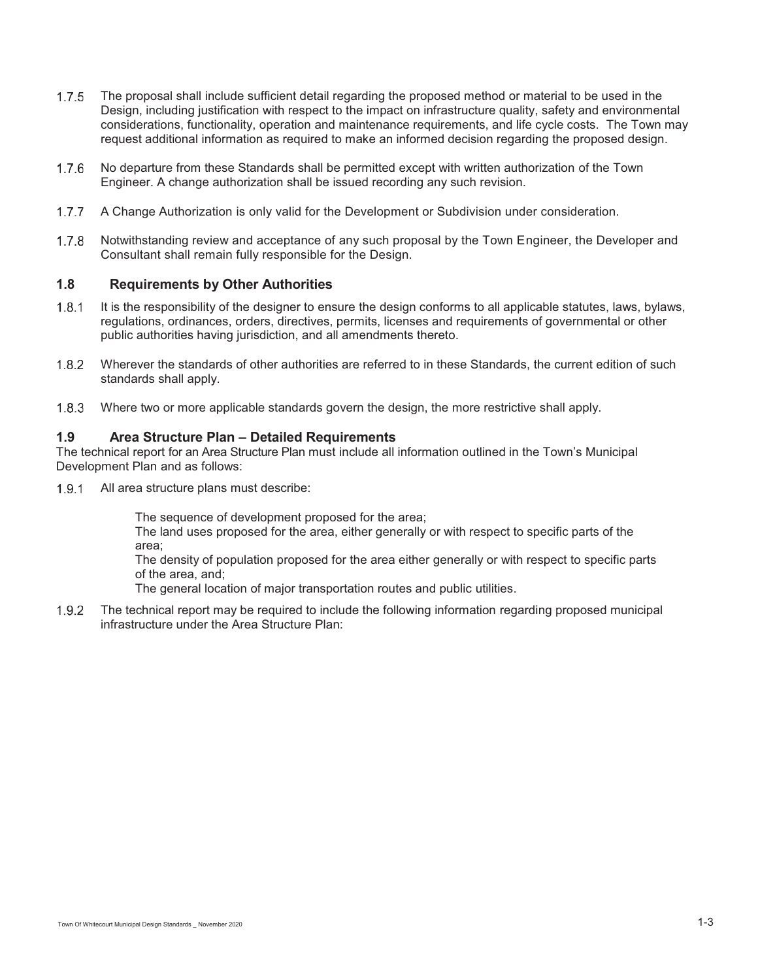- 1.7.5 The proposal shall include sufficient detail regarding the proposed method or material to be used in the Design, including justification with respect to the impact on infrastructure quality, safety and environmental considerations, functionality, operation and maintenance requirements, and life cycle costs. The Town may request additional information as required to make an informed decision regarding the proposed design.
- 1.7.6 No departure from these Standards shall be permitted except with written authorization of the Town Engineer. A change authorization shall be issued recording any such revision.
- 1.7.7 A Change Authorization is only valid for the Development or Subdivision under consideration.
- 1.7.8 Notwithstanding review and acceptance of any such proposal by the Town Engineer, the Developer and Consultant shall remain fully responsible for the Design.

#### **1.8 Requirements by Other Authorities**

- 1.8.1 It is the responsibility of the designer to ensure the design conforms to all applicable statutes, laws, bylaws, regulations, ordinances, orders, directives, permits, licenses and requirements of governmental or other public authorities having jurisdiction, and all amendments thereto.
- Wherever the standards of other authorities are referred to in these Standards, the current edition of such standards shall apply.
- Where two or more applicable standards govern the design, the more restrictive shall apply.

#### **1.9 Area Structure Plan – Detailed Requirements**

The technical report for an Area Structure Plan must include all information outlined in the Town's Municipal Development Plan and as follows:

1.9.1 All area structure plans must describe:

The sequence of development proposed for the area;

The land uses proposed for the area, either generally or with respect to specific parts of the area;

The density of population proposed for the area either generally or with respect to specific parts of the area, and;

The general location of major transportation routes and public utilities.

 The technical report may be required to include the following information regarding proposed municipal infrastructure under the Area Structure Plan: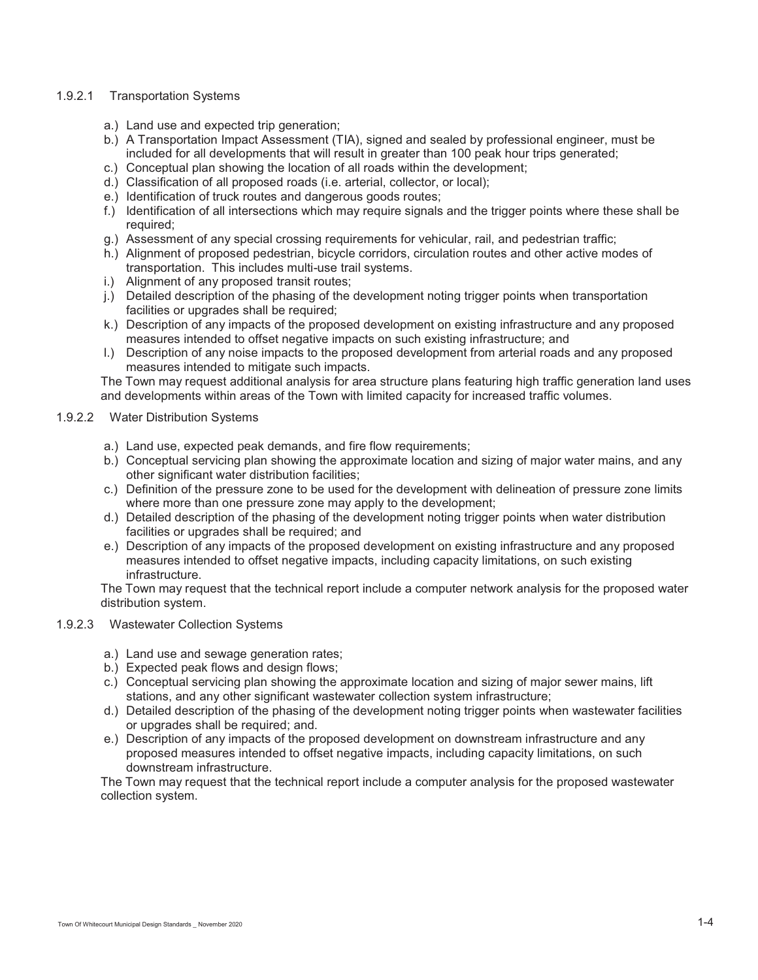#### 1.9.2.1 Transportation Systems

- a.) Land use and expected trip generation;
- b.) A Transportation Impact Assessment (TIA), signed and sealed by professional engineer, must be included for all developments that will result in greater than 100 peak hour trips generated;
- c.) Conceptual plan showing the location of all roads within the development;
- d.) Classification of all proposed roads (i.e. arterial, collector, or local);
- e.) Identification of truck routes and dangerous goods routes;
- f.) Identification of all intersections which may require signals and the trigger points where these shall be required;
- g.) Assessment of any special crossing requirements for vehicular, rail, and pedestrian traffic;
- h.) Alignment of proposed pedestrian, bicycle corridors, circulation routes and other active modes of transportation. This includes multi-use trail systems.
- i.) Alignment of any proposed transit routes;
- j.) Detailed description of the phasing of the development noting trigger points when transportation facilities or upgrades shall be required:
- k.) Description of any impacts of the proposed development on existing infrastructure and any proposed measures intended to offset negative impacts on such existing infrastructure; and
- l.) Description of any noise impacts to the proposed development from arterial roads and any proposed measures intended to mitigate such impacts.

The Town may request additional analysis for area structure plans featuring high traffic generation land uses and developments within areas of the Town with limited capacity for increased traffic volumes.

#### 1.9.2.2 Water Distribution Systems

- a.) Land use, expected peak demands, and fire flow requirements;
- b.) Conceptual servicing plan showing the approximate location and sizing of major water mains, and any other significant water distribution facilities;
- c.) Definition of the pressure zone to be used for the development with delineation of pressure zone limits where more than one pressure zone may apply to the development;
- d.) Detailed description of the phasing of the development noting trigger points when water distribution facilities or upgrades shall be required; and
- e.) Description of any impacts of the proposed development on existing infrastructure and any proposed measures intended to offset negative impacts, including capacity limitations, on such existing infrastructure.

The Town may request that the technical report include a computer network analysis for the proposed water distribution system.

#### 1.9.2.3 Wastewater Collection Systems

- a.) Land use and sewage generation rates;
- b.) Expected peak flows and design flows;
- c.) Conceptual servicing plan showing the approximate location and sizing of major sewer mains, lift stations, and any other significant wastewater collection system infrastructure;
- d.) Detailed description of the phasing of the development noting trigger points when wastewater facilities or upgrades shall be required; and.
- e.) Description of any impacts of the proposed development on downstream infrastructure and any proposed measures intended to offset negative impacts, including capacity limitations, on such downstream infrastructure.

The Town may request that the technical report include a computer analysis for the proposed wastewater collection system.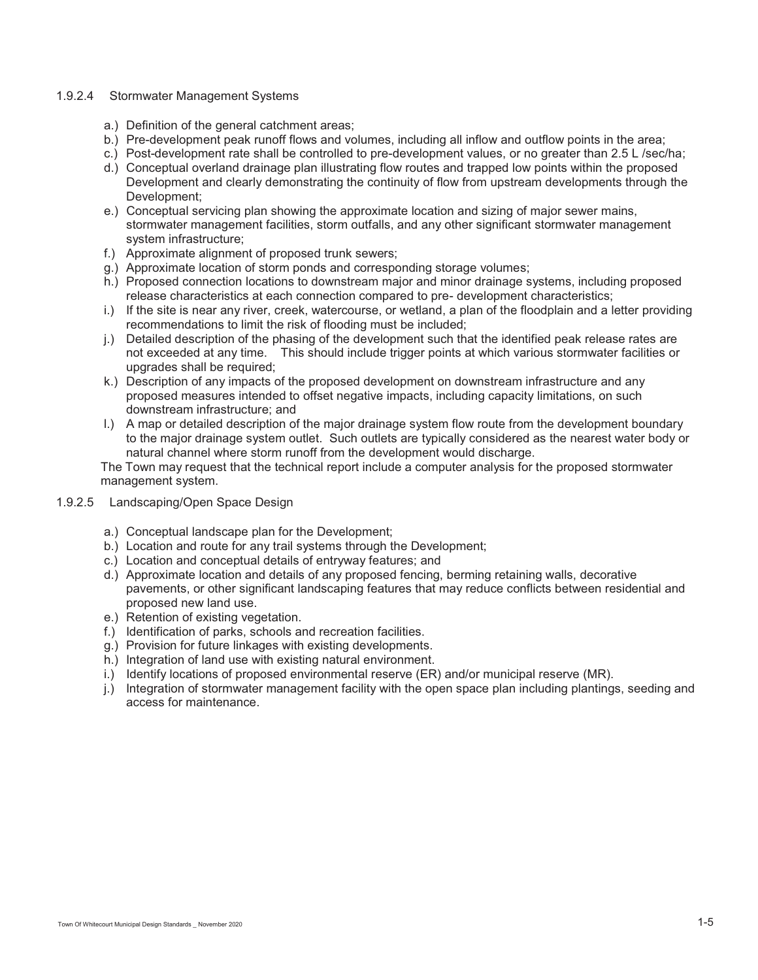#### 1.9.2.4 Stormwater Management Systems

- a.) Definition of the general catchment areas;
- b.) Pre-development peak runoff flows and volumes, including all inflow and outflow points in the area;
- c.) Post-development rate shall be controlled to pre-development values, or no greater than 2.5 L /sec/ha;
- d.) Conceptual overland drainage plan illustrating flow routes and trapped low points within the proposed Development and clearly demonstrating the continuity of flow from upstream developments through the Development;
- e.) Conceptual servicing plan showing the approximate location and sizing of major sewer mains, stormwater management facilities, storm outfalls, and any other significant stormwater management system infrastructure;
- f.) Approximate alignment of proposed trunk sewers;
- g.) Approximate location of storm ponds and corresponding storage volumes;
- h.) Proposed connection locations to downstream major and minor drainage systems, including proposed release characteristics at each connection compared to pre- development characteristics;
- i.) If the site is near any river, creek, watercourse, or wetland, a plan of the floodplain and a letter providing recommendations to limit the risk of flooding must be included;
- j.) Detailed description of the phasing of the development such that the identified peak release rates are not exceeded at any time. This should include trigger points at which various stormwater facilities or upgrades shall be required;
- k.) Description of any impacts of the proposed development on downstream infrastructure and any proposed measures intended to offset negative impacts, including capacity limitations, on such downstream infrastructure; and
- l.) A map or detailed description of the major drainage system flow route from the development boundary to the major drainage system outlet. Such outlets are typically considered as the nearest water body or natural channel where storm runoff from the development would discharge.

The Town may request that the technical report include a computer analysis for the proposed stormwater management system.

- 1.9.2.5 Landscaping/Open Space Design
	- a.) Conceptual landscape plan for the Development;
	- b.) Location and route for any trail systems through the Development;
	- c.) Location and conceptual details of entryway features; and
	- d.) Approximate location and details of any proposed fencing, berming retaining walls, decorative pavements, or other significant landscaping features that may reduce conflicts between residential and proposed new land use.
	- e.) Retention of existing vegetation.
	- f.) Identification of parks, schools and recreation facilities.
	- g.) Provision for future linkages with existing developments.
	- h.) Integration of land use with existing natural environment.
	- i.) Identify locations of proposed environmental reserve (ER) and/or municipal reserve (MR).
	- j.) Integration of stormwater management facility with the open space plan including plantings, seeding and access for maintenance.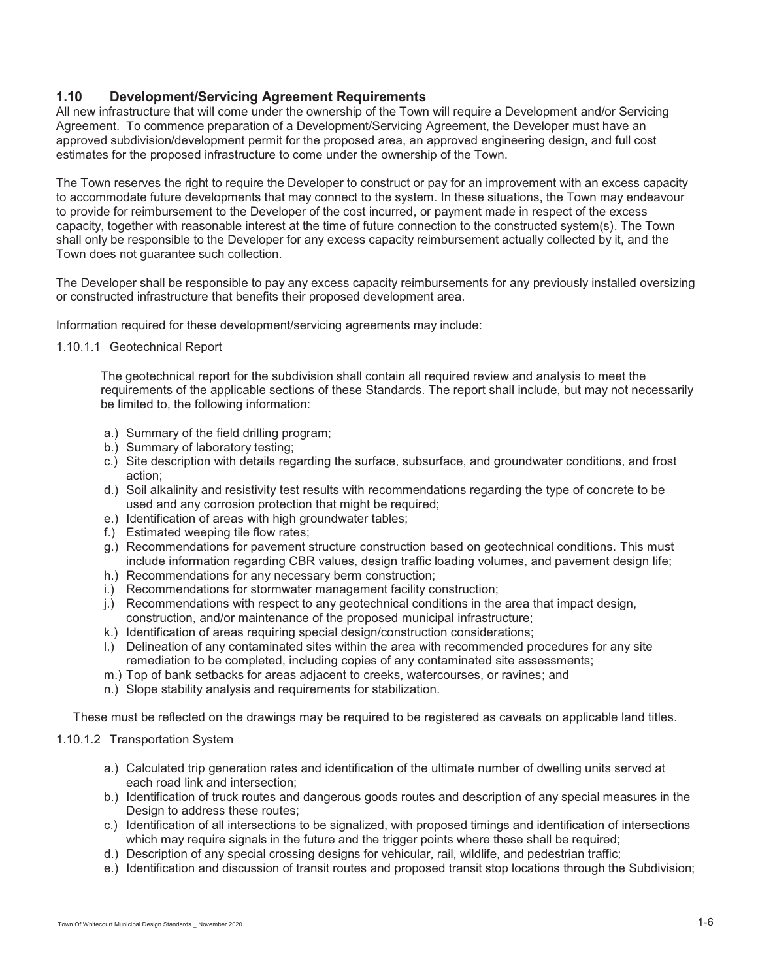# **1.10 Development/Servicing Agreement Requirements**

All new infrastructure that will come under the ownership of the Town will require a Development and/or Servicing Agreement. To commence preparation of a Development/Servicing Agreement, the Developer must have an approved subdivision/development permit for the proposed area, an approved engineering design, and full cost estimates for the proposed infrastructure to come under the ownership of the Town.

The Town reserves the right to require the Developer to construct or pay for an improvement with an excess capacity to accommodate future developments that may connect to the system. In these situations, the Town may endeavour to provide for reimbursement to the Developer of the cost incurred, or payment made in respect of the excess capacity, together with reasonable interest at the time of future connection to the constructed system(s). The Town shall only be responsible to the Developer for any excess capacity reimbursement actually collected by it, and the Town does not guarantee such collection.

The Developer shall be responsible to pay any excess capacity reimbursements for any previously installed oversizing or constructed infrastructure that benefits their proposed development area.

Information required for these development/servicing agreements may include:

1.10.1.1 Geotechnical Report

The geotechnical report for the subdivision shall contain all required review and analysis to meet the requirements of the applicable sections of these Standards. The report shall include, but may not necessarily be limited to, the following information:

- a.) Summary of the field drilling program;
- b.) Summary of laboratory testing;
- c.) Site description with details regarding the surface, subsurface, and groundwater conditions, and frost action;
- d.) Soil alkalinity and resistivity test results with recommendations regarding the type of concrete to be used and any corrosion protection that might be required;
- e.) Identification of areas with high groundwater tables;
- f.) Estimated weeping tile flow rates;
- g.) Recommendations for pavement structure construction based on geotechnical conditions. This must include information regarding CBR values, design traffic loading volumes, and pavement design life;
- h.) Recommendations for any necessary berm construction;
- i.) Recommendations for stormwater management facility construction;
- j.) Recommendations with respect to any geotechnical conditions in the area that impact design, construction, and/or maintenance of the proposed municipal infrastructure;
- k.) Identification of areas requiring special design/construction considerations;
- l.) Delineation of any contaminated sites within the area with recommended procedures for any site remediation to be completed, including copies of any contaminated site assessments;
- m.) Top of bank setbacks for areas adjacent to creeks, watercourses, or ravines; and
- n.) Slope stability analysis and requirements for stabilization.

These must be reflected on the drawings may be required to be registered as caveats on applicable land titles.

## 1.10.1.2 Transportation System

- a.) Calculated trip generation rates and identification of the ultimate number of dwelling units served at each road link and intersection;
- b.) Identification of truck routes and dangerous goods routes and description of any special measures in the Design to address these routes;
- c.) Identification of all intersections to be signalized, with proposed timings and identification of intersections which may require signals in the future and the trigger points where these shall be required;
- d.) Description of any special crossing designs for vehicular, rail, wildlife, and pedestrian traffic;
- e.) Identification and discussion of transit routes and proposed transit stop locations through the Subdivision;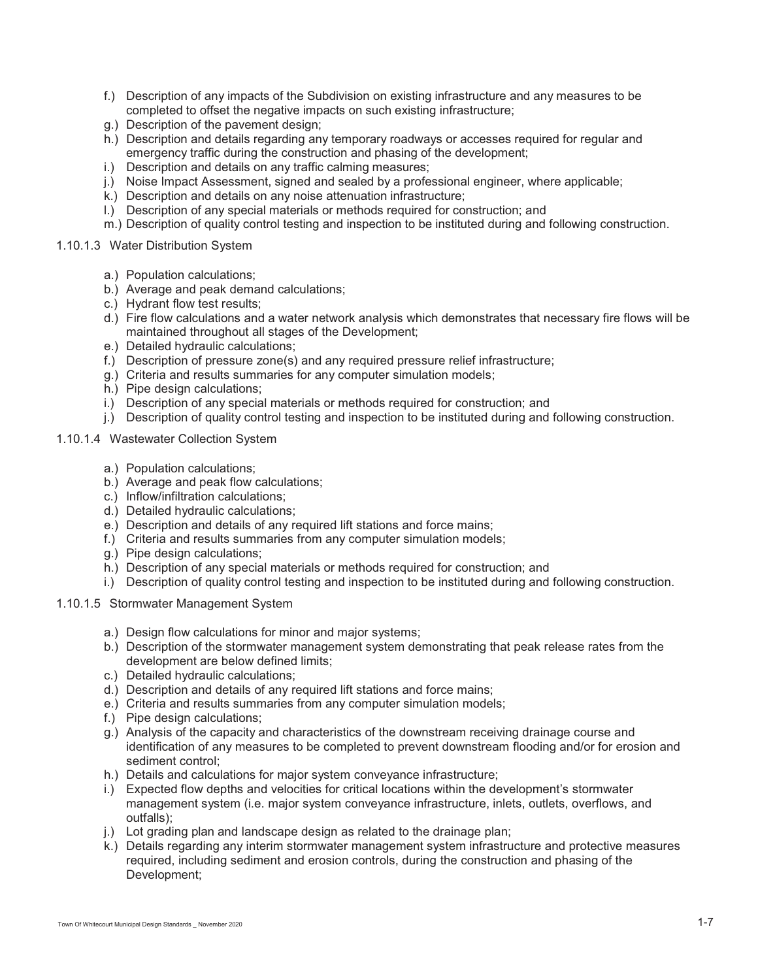- f.) Description of any impacts of the Subdivision on existing infrastructure and any measures to be completed to offset the negative impacts on such existing infrastructure;
- g.) Description of the pavement design;
- h.) Description and details regarding any temporary roadways or accesses required for regular and emergency traffic during the construction and phasing of the development;
- i.) Description and details on any traffic calming measures;
- j.) Noise Impact Assessment, signed and sealed by a professional engineer, where applicable;
- k.) Description and details on any noise attenuation infrastructure;
- l.) Description of any special materials or methods required for construction; and
- m.) Description of quality control testing and inspection to be instituted during and following construction.

#### 1.10.1.3 Water Distribution System

- a.) Population calculations;
- b.) Average and peak demand calculations;
- c.) Hydrant flow test results;
- d.) Fire flow calculations and a water network analysis which demonstrates that necessary fire flows will be maintained throughout all stages of the Development;
- e.) Detailed hydraulic calculations;
- f.) Description of pressure zone(s) and any required pressure relief infrastructure;
- g.) Criteria and results summaries for any computer simulation models;
- h.) Pipe design calculations;
- i.) Description of any special materials or methods required for construction; and
- j.) Description of quality control testing and inspection to be instituted during and following construction.

#### 1.10.1.4 Wastewater Collection System

- a.) Population calculations;
- b.) Average and peak flow calculations;
- c.) Inflow/infiltration calculations;
- d.) Detailed hydraulic calculations;
- e.) Description and details of any required lift stations and force mains;
- f.) Criteria and results summaries from any computer simulation models;
- g.) Pipe design calculations;
- h.) Description of any special materials or methods required for construction; and
- i.) Description of quality control testing and inspection to be instituted during and following construction.

#### 1.10.1.5 Stormwater Management System

- a.) Design flow calculations for minor and major systems;
- b.) Description of the stormwater management system demonstrating that peak release rates from the development are below defined limits;
- c.) Detailed hydraulic calculations;
- d.) Description and details of any required lift stations and force mains;
- e.) Criteria and results summaries from any computer simulation models;
- f.) Pipe design calculations;
- g.) Analysis of the capacity and characteristics of the downstream receiving drainage course and identification of any measures to be completed to prevent downstream flooding and/or for erosion and sediment control;
- h.) Details and calculations for major system conveyance infrastructure;
- i.) Expected flow depths and velocities for critical locations within the development's stormwater management system (i.e. major system conveyance infrastructure, inlets, outlets, overflows, and outfalls);
- j.) Lot grading plan and landscape design as related to the drainage plan;
- k.) Details regarding any interim stormwater management system infrastructure and protective measures required, including sediment and erosion controls, during the construction and phasing of the Development;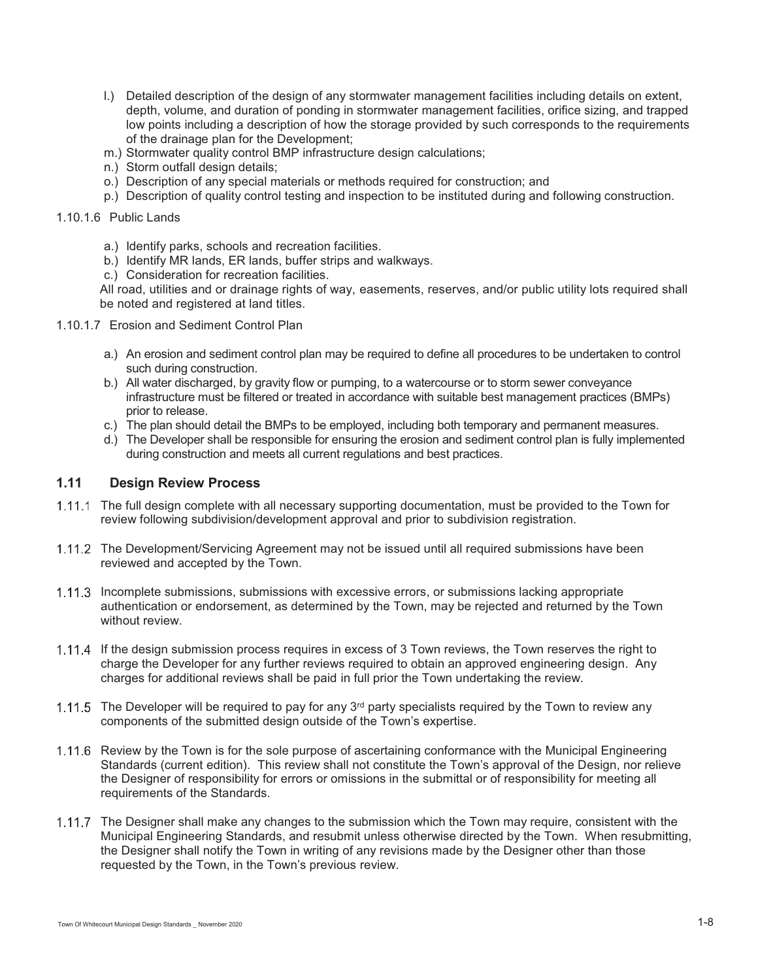- l.) Detailed description of the design of any stormwater management facilities including details on extent, depth, volume, and duration of ponding in stormwater management facilities, orifice sizing, and trapped low points including a description of how the storage provided by such corresponds to the requirements of the drainage plan for the Development;
- m.) Stormwater quality control BMP infrastructure design calculations;
- n.) Storm outfall design details;
- o.) Description of any special materials or methods required for construction; and
- p.) Description of quality control testing and inspection to be instituted during and following construction.

#### 1.10.1.6 Public Lands

- a.) Identify parks, schools and recreation facilities.
- b.) Identify MR lands, ER lands, buffer strips and walkways.
- c.) Consideration for recreation facilities.

All road, utilities and or drainage rights of way, easements, reserves, and/or public utility lots required shall be noted and registered at land titles.

- 1.10.1.7 Erosion and Sediment Control Plan
	- a.) An erosion and sediment control plan may be required to define all procedures to be undertaken to control such during construction.
	- b.) All water discharged, by gravity flow or pumping, to a watercourse or to storm sewer conveyance infrastructure must be filtered or treated in accordance with suitable best management practices (BMPs) prior to release.
	- c.) The plan should detail the BMPs to be employed, including both temporary and permanent measures.
	- d.) The Developer shall be responsible for ensuring the erosion and sediment control plan is fully implemented during construction and meets all current regulations and best practices.

# **1.11 Design Review Process**

- The full design complete with all necessary supporting documentation, must be provided to the Town for review following subdivision/development approval and prior to subdivision registration.
- The Development/Servicing Agreement may not be issued until all required submissions have been reviewed and accepted by the Town.
- 1.11.3 Incomplete submissions, submissions with excessive errors, or submissions lacking appropriate authentication or endorsement, as determined by the Town, may be rejected and returned by the Town without review.
- 1.11.4 If the design submission process requires in excess of 3 Town reviews, the Town reserves the right to charge the Developer for any further reviews required to obtain an approved engineering design. Any charges for additional reviews shall be paid in full prior the Town undertaking the review.
- 1.11.5 The Developer will be required to pay for any  $3<sup>rd</sup>$  party specialists required by the Town to review any components of the submitted design outside of the Town's expertise.
- 1.11.6 Review by the Town is for the sole purpose of ascertaining conformance with the Municipal Engineering Standards (current edition). This review shall not constitute the Town's approval of the Design, nor relieve the Designer of responsibility for errors or omissions in the submittal or of responsibility for meeting all requirements of the Standards.
- 1.11.7 The Designer shall make any changes to the submission which the Town may require, consistent with the Municipal Engineering Standards, and resubmit unless otherwise directed by the Town. When resubmitting, the Designer shall notify the Town in writing of any revisions made by the Designer other than those requested by the Town, in the Town's previous review.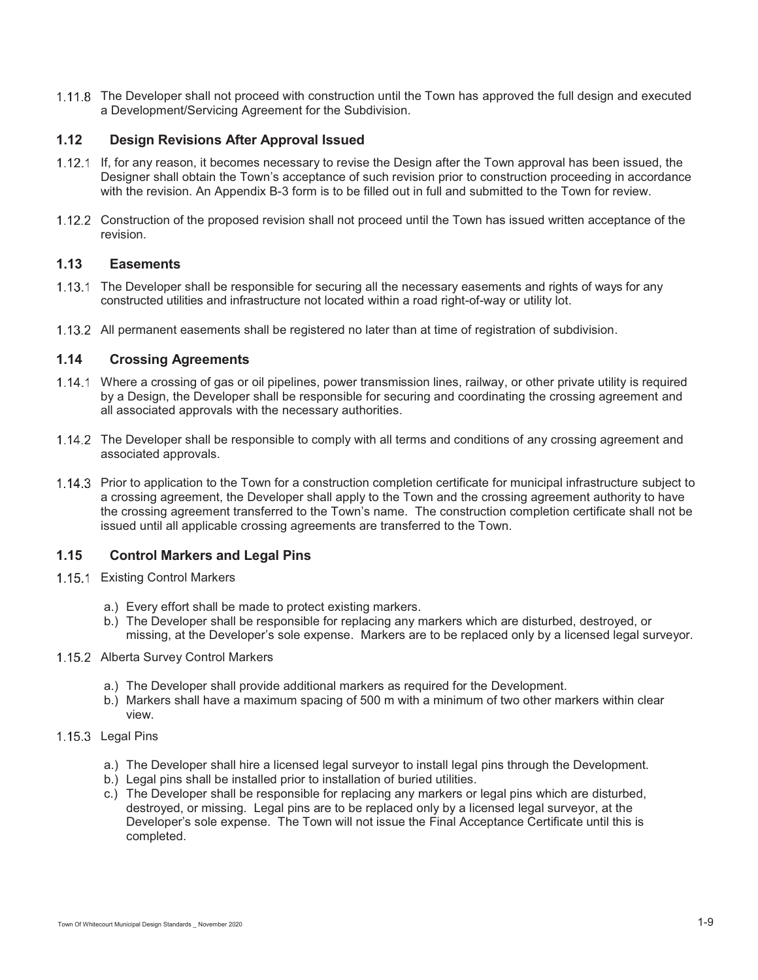1.11.8 The Developer shall not proceed with construction until the Town has approved the full design and executed a Development/Servicing Agreement for the Subdivision.

# **1.12 Design Revisions After Approval Issued**

- 1.12.1 If, for any reason, it becomes necessary to revise the Design after the Town approval has been issued, the Designer shall obtain the Town's acceptance of such revision prior to construction proceeding in accordance with the revision. An Appendix B-3 form is to be filled out in full and submitted to the Town for review.
- 1.12.2 Construction of the proposed revision shall not proceed until the Town has issued written acceptance of the revision.

## **1.13 Easements**

- 1.13.1 The Developer shall be responsible for securing all the necessary easements and rights of ways for any constructed utilities and infrastructure not located within a road right-of-way or utility lot.
- All permanent easements shall be registered no later than at time of registration of subdivision.

# **1.14 Crossing Agreements**

- Where a crossing of gas or oil pipelines, power transmission lines, railway, or other private utility is required by a Design, the Developer shall be responsible for securing and coordinating the crossing agreement and all associated approvals with the necessary authorities.
- The Developer shall be responsible to comply with all terms and conditions of any crossing agreement and associated approvals.
- 1.14.3 Prior to application to the Town for a construction completion certificate for municipal infrastructure subject to a crossing agreement, the Developer shall apply to the Town and the crossing agreement authority to have the crossing agreement transferred to the Town's name. The construction completion certificate shall not be issued until all applicable crossing agreements are transferred to the Town.

# **1.15 Control Markers and Legal Pins**

- 1.15.1 Existing Control Markers
	- a.) Every effort shall be made to protect existing markers.
	- b.) The Developer shall be responsible for replacing any markers which are disturbed, destroyed, or missing, at the Developer's sole expense. Markers are to be replaced only by a licensed legal surveyor.
- 1.15.2 Alberta Survey Control Markers
	- a.) The Developer shall provide additional markers as required for the Development.
	- b.) Markers shall have a maximum spacing of 500 m with a minimum of two other markers within clear view.
- 1.15.3 Legal Pins
	- a.) The Developer shall hire a licensed legal surveyor to install legal pins through the Development.
	- b.) Legal pins shall be installed prior to installation of buried utilities.
	- c.) The Developer shall be responsible for replacing any markers or legal pins which are disturbed, destroyed, or missing. Legal pins are to be replaced only by a licensed legal surveyor, at the Developer's sole expense. The Town will not issue the Final Acceptance Certificate until this is completed.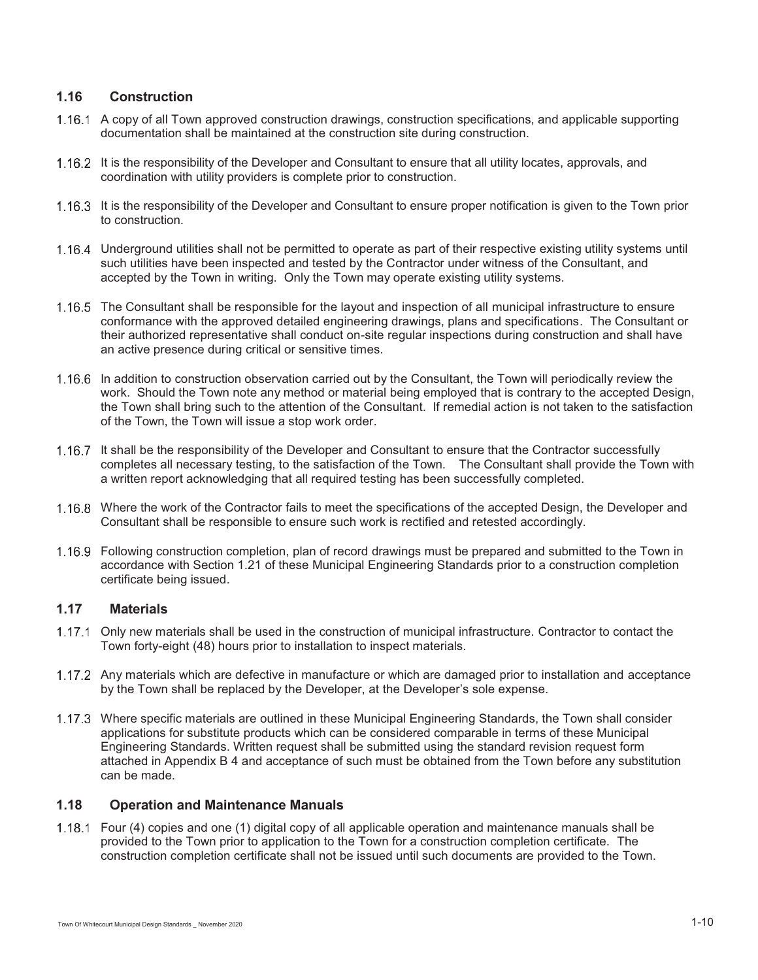## **1.16 Construction**

- 1.16.1 A copy of all Town approved construction drawings, construction specifications, and applicable supporting documentation shall be maintained at the construction site during construction.
- 1.16.2 It is the responsibility of the Developer and Consultant to ensure that all utility locates, approvals, and coordination with utility providers is complete prior to construction.
- 1.16.3 It is the responsibility of the Developer and Consultant to ensure proper notification is given to the Town prior to construction.
- Underground utilities shall not be permitted to operate as part of their respective existing utility systems until such utilities have been inspected and tested by the Contractor under witness of the Consultant, and accepted by the Town in writing. Only the Town may operate existing utility systems.
- 1.16.5 The Consultant shall be responsible for the layout and inspection of all municipal infrastructure to ensure conformance with the approved detailed engineering drawings, plans and specifications. The Consultant or their authorized representative shall conduct on-site regular inspections during construction and shall have an active presence during critical or sensitive times.
- 1.16.6 In addition to construction observation carried out by the Consultant, the Town will periodically review the work. Should the Town note any method or material being employed that is contrary to the accepted Design, the Town shall bring such to the attention of the Consultant. If remedial action is not taken to the satisfaction of the Town, the Town will issue a stop work order.
- 1.16.7 It shall be the responsibility of the Developer and Consultant to ensure that the Contractor successfully completes all necessary testing, to the satisfaction of the Town. The Consultant shall provide the Town with a written report acknowledging that all required testing has been successfully completed.
- Where the work of the Contractor fails to meet the specifications of the accepted Design, the Developer and Consultant shall be responsible to ensure such work is rectified and retested accordingly.
- Following construction completion, plan of record drawings must be prepared and submitted to the Town in accordance with Section 1.21 of these Municipal Engineering Standards prior to a construction completion certificate being issued.

# **1.17 Materials**

- 1.17.1 Only new materials shall be used in the construction of municipal infrastructure. Contractor to contact the Town forty-eight (48) hours prior to installation to inspect materials.
- 1.17.2 Any materials which are defective in manufacture or which are damaged prior to installation and acceptance by the Town shall be replaced by the Developer, at the Developer's sole expense.
- Where specific materials are outlined in these Municipal Engineering Standards, the Town shall consider applications for substitute products which can be considered comparable in terms of these Municipal Engineering Standards. Written request shall be submitted using the standard revision request form attached in Appendix B 4 and acceptance of such must be obtained from the Town before any substitution can be made.

## **1.18 Operation and Maintenance Manuals**

 Four (4) copies and one (1) digital copy of all applicable operation and maintenance manuals shall be provided to the Town prior to application to the Town for a construction completion certificate. The construction completion certificate shall not be issued until such documents are provided to the Town.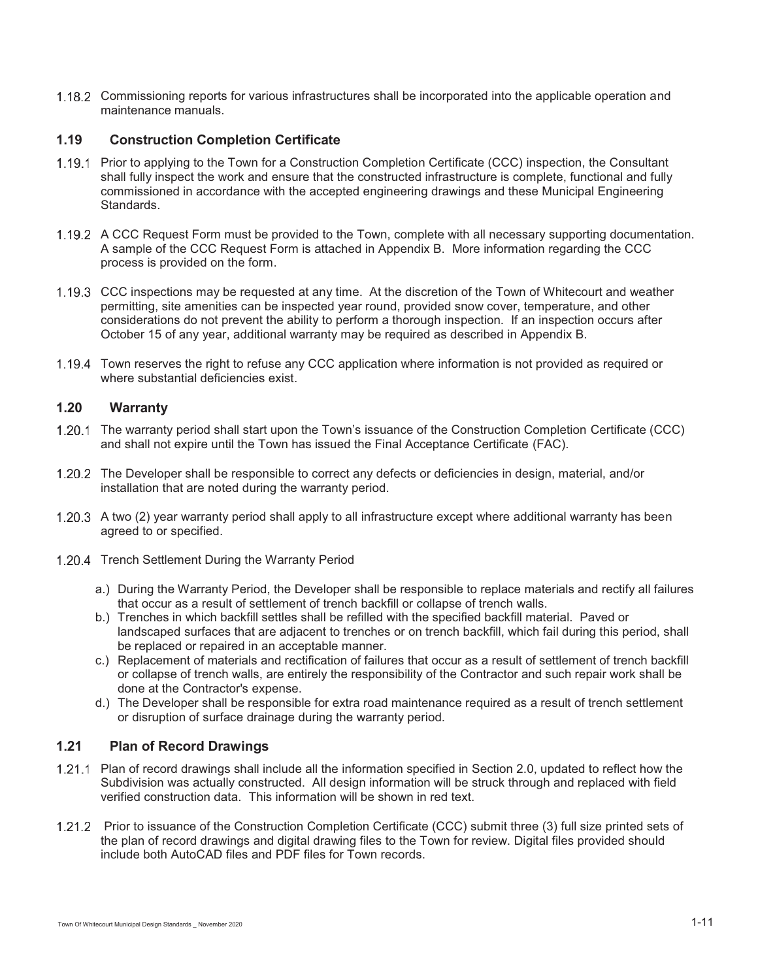1.18.2 Commissioning reports for various infrastructures shall be incorporated into the applicable operation and maintenance manuals.

# **1.19 Construction Completion Certificate**

- 1.19.1 Prior to applying to the Town for a Construction Completion Certificate (CCC) inspection, the Consultant shall fully inspect the work and ensure that the constructed infrastructure is complete, functional and fully commissioned in accordance with the accepted engineering drawings and these Municipal Engineering Standards.
- A CCC Request Form must be provided to the Town, complete with all necessary supporting documentation. A sample of the CCC Request Form is attached in Appendix B. More information regarding the CCC process is provided on the form.
- CCC inspections may be requested at any time. At the discretion of the Town of Whitecourt and weather permitting, site amenities can be inspected year round, provided snow cover, temperature, and other considerations do not prevent the ability to perform a thorough inspection. If an inspection occurs after October 15 of any year, additional warranty may be required as described in Appendix B.
- 1.19.4 Town reserves the right to refuse any CCC application where information is not provided as required or where substantial deficiencies exist.

## **1.20 Warranty**

- 1.20.1 The warranty period shall start upon the Town's issuance of the Construction Completion Certificate (CCC) and shall not expire until the Town has issued the Final Acceptance Certificate (FAC).
- The Developer shall be responsible to correct any defects or deficiencies in design, material, and/or installation that are noted during the warranty period.
- 1.20.3 A two (2) year warranty period shall apply to all infrastructure except where additional warranty has been agreed to or specified.
- 1.20.4 Trench Settlement During the Warranty Period
	- a.) During the Warranty Period, the Developer shall be responsible to replace materials and rectify all failures that occur as a result of settlement of trench backfill or collapse of trench walls.
	- b.) Trenches in which backfill settles shall be refilled with the specified backfill material. Paved or landscaped surfaces that are adjacent to trenches or on trench backfill, which fail during this period, shall be replaced or repaired in an acceptable manner.
	- c.) Replacement of materials and rectification of failures that occur as a result of settlement of trench backfill or collapse of trench walls, are entirely the responsibility of the Contractor and such repair work shall be done at the Contractor's expense.
	- d.) The Developer shall be responsible for extra road maintenance required as a result of trench settlement or disruption of surface drainage during the warranty period.

# **1.21 Plan of Record Drawings**

- Plan of record drawings shall include all the information specified in Section 2.0, updated to reflect how the Subdivision was actually constructed. All design information will be struck through and replaced with field verified construction data. This information will be shown in red text.
- Prior to issuance of the Construction Completion Certificate (CCC) submit three (3) full size printed sets of the plan of record drawings and digital drawing files to the Town for review. Digital files provided should include both AutoCAD files and PDF files for Town records.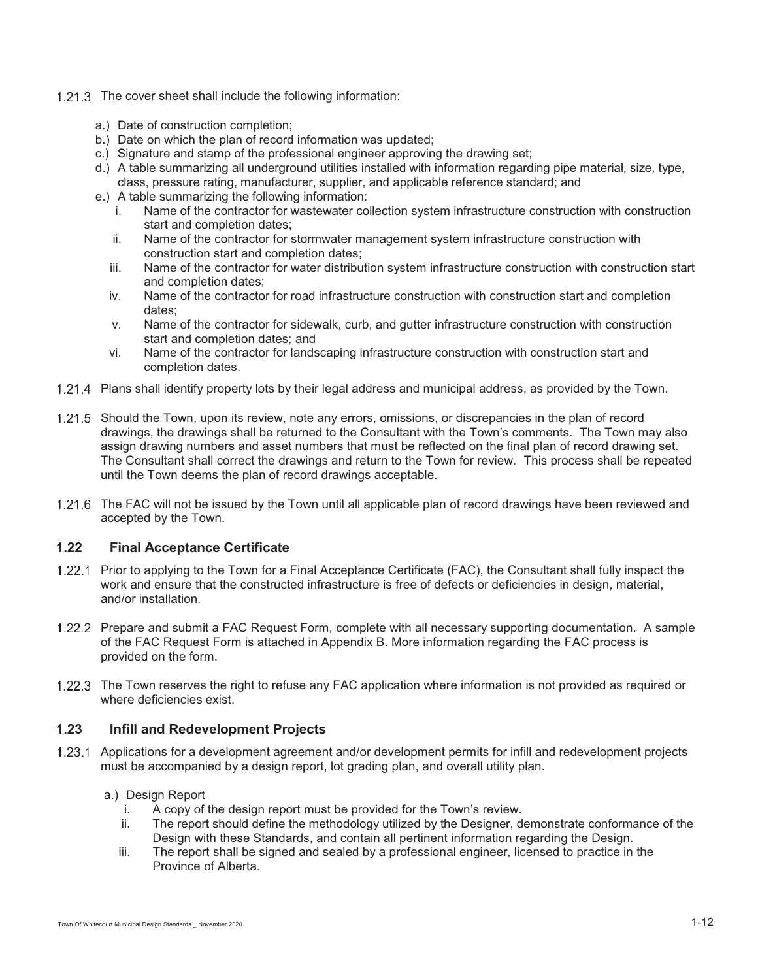- 1.21.3 The cover sheet shall include the following information:
	- a.) Date of construction completion;
	- b.) Date on which the plan of record information was updated;
	- c.) Signature and stamp of the professional engineer approving the drawing set;
	- d.) A table summarizing all underground utilities installed with information regarding pipe material, size, type, class, pressure rating, manufacturer, supplier, and applicable reference standard; and
	- e.) A table summarizing the following information:
		- i. Name of the contractor for wastewater collection system infrastructure construction with construction start and completion dates;
		- ii. Name of the contractor for stormwater management system infrastructure construction with construction start and completion dates;
		- iii. Name of the contractor for water distribution system infrastructure construction with construction start and completion dates;
		- iv. Name of the contractor for road infrastructure construction with construction start and completion dates;
		- v. Name of the contractor for sidewalk, curb, and gutter infrastructure construction with construction start and completion dates; and
		- vi. Name of the contractor for landscaping infrastructure construction with construction start and completion dates.
- 1.21.4 Plans shall identify property lots by their legal address and municipal address, as provided by the Town.
- 1.21.5 Should the Town, upon its review, note any errors, omissions, or discrepancies in the plan of record drawings, the drawings shall be returned to the Consultant with the Town's comments. The Town may also assign drawing numbers and asset numbers that must be reflected on the final plan of record drawing set. The Consultant shall correct the drawings and return to the Town for review. This process shall be repeated until the Town deems the plan of record drawings acceptable.
- 1.21.6 The FAC will not be issued by the Town until all applicable plan of record drawings have been reviewed and accepted by the Town.

## **1.22 Final Acceptance Certificate**

- 1.22.1 Prior to applying to the Town for a Final Acceptance Certificate (FAC), the Consultant shall fully inspect the work and ensure that the constructed infrastructure is free of defects or deficiencies in design, material, and/or installation.
- 1.22.2 Prepare and submit a FAC Request Form, complete with all necessary supporting documentation. A sample of the FAC Request Form is attached in Appendix B. More information regarding the FAC process is provided on the form.
- 1.22.3 The Town reserves the right to refuse any FAC application where information is not provided as required or where deficiencies exist.

## **1.23 Infill and Redevelopment Projects**

1.23.1 Applications for a development agreement and/or development permits for infill and redevelopment projects must be accompanied by a design report, lot grading plan, and overall utility plan.

## a.) Design Report

- i. A copy of the design report must be provided for the Town's review.
- ii. The report should define the methodology utilized by the Designer, demonstrate conformance of the Design with these Standards, and contain all pertinent information regarding the Design.
- iii. The report shall be signed and sealed by a professional engineer, licensed to practice in the Province of Alberta.